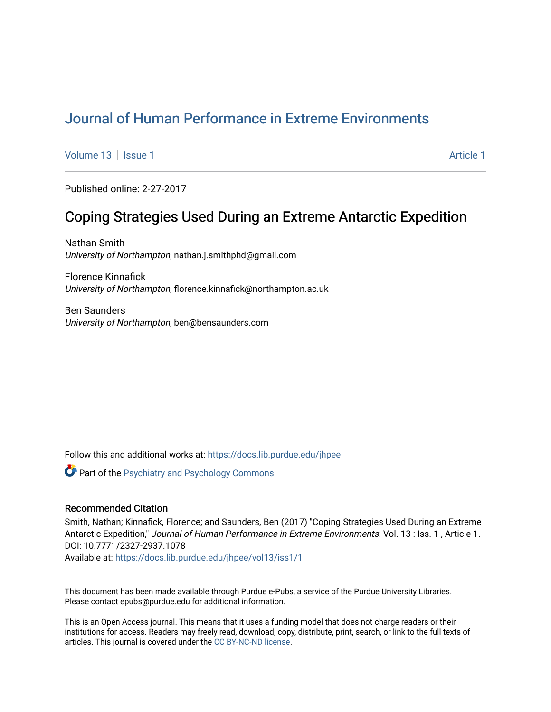# [Journal of Human Performance in Extreme Environments](https://docs.lib.purdue.edu/jhpee)

[Volume 13](https://docs.lib.purdue.edu/jhpee/vol13) | [Issue 1](https://docs.lib.purdue.edu/jhpee/vol13/iss1) [Article 1](https://docs.lib.purdue.edu/jhpee/vol13/iss1/1) Article 1 Article 1 Article 1 Article 1 Article 1 Article 1 Article 1

Published online: 2-27-2017

## Coping Strategies Used During an Extreme Antarctic Expedition

Nathan Smith University of Northampton, nathan.j.smithphd@gmail.com

Florence Kinnafick University of Northampton, florence.kinnafick@northampton.ac.uk

Ben Saunders University of Northampton, ben@bensaunders.com

Follow this and additional works at: [https://docs.lib.purdue.edu/jhpee](https://docs.lib.purdue.edu/jhpee?utm_source=docs.lib.purdue.edu%2Fjhpee%2Fvol13%2Fiss1%2F1&utm_medium=PDF&utm_campaign=PDFCoverPages) 

**Part of the Psychiatry and Psychology Commons** 

## Recommended Citation

Smith, Nathan; Kinnafick, Florence; and Saunders, Ben (2017) "Coping Strategies Used During an Extreme Antarctic Expedition," Journal of Human Performance in Extreme Environments: Vol. 13 : Iss. 1, Article 1. DOI: 10.7771/2327-2937.1078

Available at: [https://docs.lib.purdue.edu/jhpee/vol13/iss1/1](https://docs.lib.purdue.edu/jhpee/vol13/iss1/1?utm_source=docs.lib.purdue.edu%2Fjhpee%2Fvol13%2Fiss1%2F1&utm_medium=PDF&utm_campaign=PDFCoverPages) 

This document has been made available through Purdue e-Pubs, a service of the Purdue University Libraries. Please contact epubs@purdue.edu for additional information.

This is an Open Access journal. This means that it uses a funding model that does not charge readers or their institutions for access. Readers may freely read, download, copy, distribute, print, search, or link to the full texts of articles. This journal is covered under the [CC BY-NC-ND license](https://creativecommons.org/licenses/by-nc-nd/4.0/).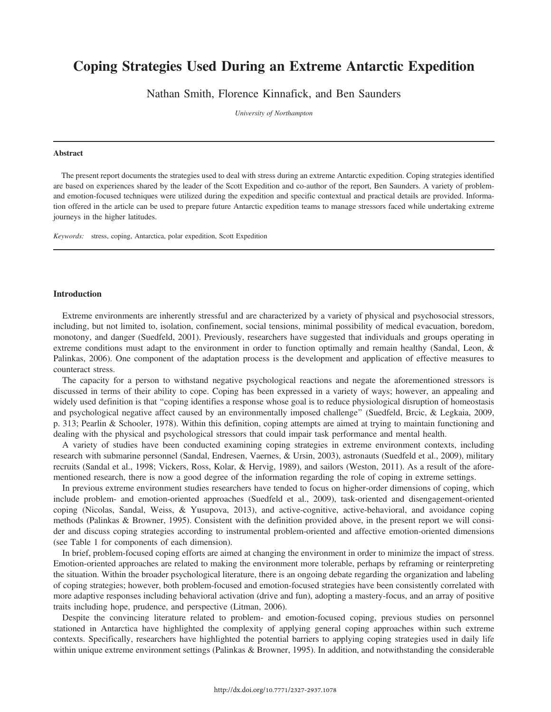## Coping Strategies Used During an Extreme Antarctic Expedition

Nathan Smith, Florence Kinnafick, and Ben Saunders

University of Northampton

#### Abstract

The present report documents the strategies used to deal with stress during an extreme Antarctic expedition. Coping strategies identified are based on experiences shared by the leader of the Scott Expedition and co-author of the report, Ben Saunders. A variety of problemand emotion-focused techniques were utilized during the expedition and specific contextual and practical details are provided. Information offered in the article can be used to prepare future Antarctic expedition teams to manage stressors faced while undertaking extreme journeys in the higher latitudes.

Keywords: stress, coping, Antarctica, polar expedition, Scott Expedition

#### **Introduction**

Extreme environments are inherently stressful and are characterized by a variety of physical and psychosocial stressors, including, but not limited to, isolation, confinement, social tensions, minimal possibility of medical evacuation, boredom, monotony, and danger (Suedfeld, 2001). Previously, researchers have suggested that individuals and groups operating in extreme conditions must adapt to the environment in order to function optimally and remain healthy (Sandal, Leon, & Palinkas, 2006). One component of the adaptation process is the development and application of effective measures to counteract stress.

The capacity for a person to withstand negative psychological reactions and negate the aforementioned stressors is discussed in terms of their ability to cope. Coping has been expressed in a variety of ways; however, an appealing and widely used definition is that ''coping identifies a response whose goal is to reduce physiological disruption of homeostasis and psychological negative affect caused by an environmentally imposed challenge'' (Suedfeld, Brcic, & Legkaia, 2009, p. 313; Pearlin & Schooler, 1978). Within this definition, coping attempts are aimed at trying to maintain functioning and dealing with the physical and psychological stressors that could impair task performance and mental health.

A variety of studies have been conducted examining coping strategies in extreme environment contexts, including research with submarine personnel (Sandal, Endresen, Vaernes, & Ursin, 2003), astronauts (Suedfeld et al., 2009), military recruits (Sandal et al., 1998; Vickers, Ross, Kolar, & Hervig, 1989), and sailors (Weston, 2011). As a result of the aforementioned research, there is now a good degree of the information regarding the role of coping in extreme settings.

In previous extreme environment studies researchers have tended to focus on higher-order dimensions of coping, which include problem- and emotion-oriented approaches (Suedfeld et al., 2009), task-oriented and disengagement-oriented coping (Nicolas, Sandal, Weiss, & Yusupova, 2013), and active-cognitive, active-behavioral, and avoidance coping methods (Palinkas & Browner, 1995). Consistent with the definition provided above, in the present report we will consider and discuss coping strategies according to instrumental problem-oriented and affective emotion-oriented dimensions (see Table 1 for components of each dimension).

In brief, problem-focused coping efforts are aimed at changing the environment in order to minimize the impact of stress. Emotion-oriented approaches are related to making the environment more tolerable, perhaps by reframing or reinterpreting the situation. Within the broader psychological literature, there is an ongoing debate regarding the organization and labeling of coping strategies; however, both problem-focused and emotion-focused strategies have been consistently correlated with more adaptive responses including behavioral activation (drive and fun), adopting a mastery-focus, and an array of positive traits including hope, prudence, and perspective (Litman, 2006).

Despite the convincing literature related to problem- and emotion-focused coping, previous studies on personnel stationed in Antarctica have highlighted the complexity of applying general coping approaches within such extreme contexts. Specifically, researchers have highlighted the potential barriers to applying coping strategies used in daily life within unique extreme environment settings (Palinkas & Browner, 1995). In addition, and notwithstanding the considerable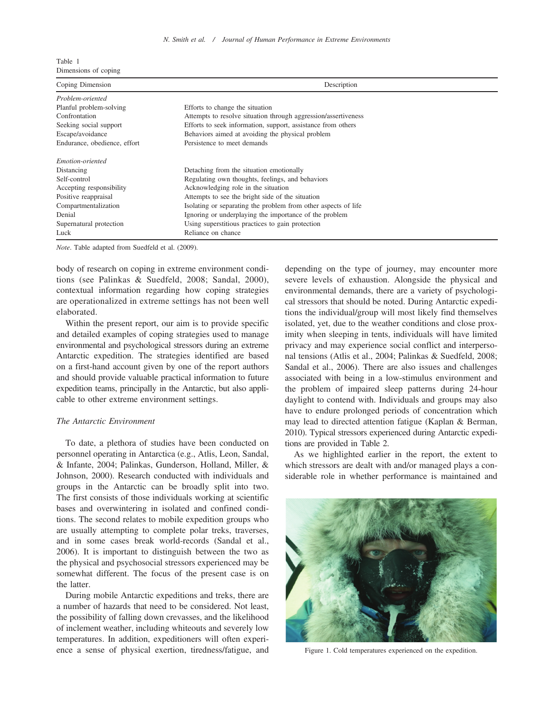| Table 1 |  |                      |
|---------|--|----------------------|
|         |  | Dimensions of coping |

| Coping Dimension             | Description                                                    |
|------------------------------|----------------------------------------------------------------|
| Problem-oriented             |                                                                |
| Planful problem-solving      | Efforts to change the situation                                |
| Confrontation                | Attempts to resolve situation through aggression/assertiveness |
| Seeking social support       | Efforts to seek information, support, assistance from others   |
| Escape/avoidance             | Behaviors aimed at avoiding the physical problem               |
| Endurance, obedience, effort | Persistence to meet demands                                    |
| Emotion-oriented             |                                                                |
| Distancing                   | Detaching from the situation emotionally                       |
| Self-control                 | Regulating own thoughts, feelings, and behaviors               |
| Accepting responsibility     | Acknowledging role in the situation                            |
| Positive reappraisal         | Attempts to see the bright side of the situation               |
| Compartmentalization         | Isolating or separating the problem from other aspects of life |
| Denial                       | Ignoring or underplaying the importance of the problem         |
| Supernatural protection      | Using superstitious practices to gain protection               |
| Luck                         | Reliance on chance                                             |

Note. Table adapted from Suedfeld et al. (2009).

body of research on coping in extreme environment conditions (see Palinkas & Suedfeld, 2008; Sandal, 2000), contextual information regarding how coping strategies are operationalized in extreme settings has not been well elaborated.

Within the present report, our aim is to provide specific and detailed examples of coping strategies used to manage environmental and psychological stressors during an extreme Antarctic expedition. The strategies identified are based on a first-hand account given by one of the report authors and should provide valuable practical information to future expedition teams, principally in the Antarctic, but also applicable to other extreme environment settings.

## The Antarctic Environment

To date, a plethora of studies have been conducted on personnel operating in Antarctica (e.g., Atlis, Leon, Sandal, & Infante, 2004; Palinkas, Gunderson, Holland, Miller, & Johnson, 2000). Research conducted with individuals and groups in the Antarctic can be broadly split into two. The first consists of those individuals working at scientific bases and overwintering in isolated and confined conditions. The second relates to mobile expedition groups who are usually attempting to complete polar treks, traverses, and in some cases break world-records (Sandal et al., 2006). It is important to distinguish between the two as the physical and psychosocial stressors experienced may be somewhat different. The focus of the present case is on the latter.

During mobile Antarctic expeditions and treks, there are a number of hazards that need to be considered. Not least, the possibility of falling down crevasses, and the likelihood of inclement weather, including whiteouts and severely low temperatures. In addition, expeditioners will often experience a sense of physical exertion, tiredness/fatigue, and depending on the type of journey, may encounter more severe levels of exhaustion. Alongside the physical and environmental demands, there are a variety of psychological stressors that should be noted. During Antarctic expeditions the individual/group will most likely find themselves isolated, yet, due to the weather conditions and close proximity when sleeping in tents, individuals will have limited privacy and may experience social conflict and interpersonal tensions (Atlis et al., 2004; Palinkas & Suedfeld, 2008; Sandal et al., 2006). There are also issues and challenges associated with being in a low-stimulus environment and the problem of impaired sleep patterns during 24-hour daylight to contend with. Individuals and groups may also have to endure prolonged periods of concentration which may lead to directed attention fatigue (Kaplan & Berman, 2010). Typical stressors experienced during Antarctic expeditions are provided in Table 2.

As we highlighted earlier in the report, the extent to which stressors are dealt with and/or managed plays a considerable role in whether performance is maintained and



Figure 1. Cold temperatures experienced on the expedition.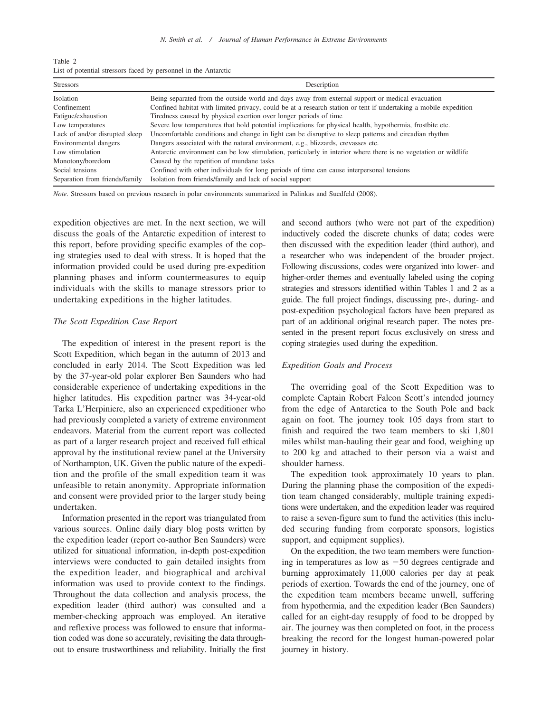| Table 2                                                         |  |  |  |  |
|-----------------------------------------------------------------|--|--|--|--|
| List of potential stressors faced by personnel in the Antarctic |  |  |  |  |

| <b>Stressors</b>               | Description                                                                                                      |
|--------------------------------|------------------------------------------------------------------------------------------------------------------|
| Isolation                      | Being separated from the outside world and days away from external support or medical evacuation                 |
| Confinement                    | Confined habitat with limited privacy, could be at a research station or tent if undertaking a mobile expedition |
| Fatigue/exhaustion             | Tiredness caused by physical exertion over longer periods of time                                                |
| Low temperatures               | Severe low temperatures that hold potential implications for physical health, hypothermia, frostbite etc.        |
| Lack of and/or disrupted sleep | Uncomfortable conditions and change in light can be disruptive to sleep patterns and circadian rhythm            |
| Environmental dangers          | Dangers associated with the natural environment, e.g., blizzards, crevasses etc.                                 |
| Low stimulation                | Antarctic environment can be low stimulation, particularly in interior where there is no vegetation or wildlife  |
| Monotony/boredom               | Caused by the repetition of mundane tasks                                                                        |
| Social tensions                | Confined with other individuals for long periods of time can cause interpersonal tensions                        |
| Separation from friends/family | Isolation from friends/family and lack of social support                                                         |

Note. Stressors based on previous research in polar environments summarized in Palinkas and Suedfeld (2008).

expedition objectives are met. In the next section, we will discuss the goals of the Antarctic expedition of interest to this report, before providing specific examples of the coping strategies used to deal with stress. It is hoped that the information provided could be used during pre-expedition planning phases and inform countermeasures to equip individuals with the skills to manage stressors prior to undertaking expeditions in the higher latitudes.

## The Scott Expedition Case Report

The expedition of interest in the present report is the Scott Expedition, which began in the autumn of 2013 and concluded in early 2014. The Scott Expedition was led by the 37-year-old polar explorer Ben Saunders who had considerable experience of undertaking expeditions in the higher latitudes. His expedition partner was 34-year-old Tarka L'Herpiniere, also an experienced expeditioner who had previously completed a variety of extreme environment endeavors. Material from the current report was collected as part of a larger research project and received full ethical approval by the institutional review panel at the University of Northampton, UK. Given the public nature of the expedition and the profile of the small expedition team it was unfeasible to retain anonymity. Appropriate information and consent were provided prior to the larger study being undertaken.

Information presented in the report was triangulated from various sources. Online daily diary blog posts written by the expedition leader (report co-author Ben Saunders) were utilized for situational information, in-depth post-expedition interviews were conducted to gain detailed insights from the expedition leader, and biographical and archival information was used to provide context to the findings. Throughout the data collection and analysis process, the expedition leader (third author) was consulted and a member-checking approach was employed. An iterative and reflexive process was followed to ensure that information coded was done so accurately, revisiting the data throughout to ensure trustworthiness and reliability. Initially the first

and second authors (who were not part of the expedition) inductively coded the discrete chunks of data; codes were then discussed with the expedition leader (third author), and a researcher who was independent of the broader project. Following discussions, codes were organized into lower- and higher-order themes and eventually labeled using the coping strategies and stressors identified within Tables 1 and 2 as a guide. The full project findings, discussing pre-, during- and post-expedition psychological factors have been prepared as part of an additional original research paper. The notes presented in the present report focus exclusively on stress and coping strategies used during the expedition.

## Expedition Goals and Process

The overriding goal of the Scott Expedition was to complete Captain Robert Falcon Scott's intended journey from the edge of Antarctica to the South Pole and back again on foot. The journey took 105 days from start to finish and required the two team members to ski 1,801 miles whilst man-hauling their gear and food, weighing up to 200 kg and attached to their person via a waist and shoulder harness.

The expedition took approximately 10 years to plan. During the planning phase the composition of the expedition team changed considerably, multiple training expeditions were undertaken, and the expedition leader was required to raise a seven-figure sum to fund the activities (this included securing funding from corporate sponsors, logistics support, and equipment supplies).

On the expedition, the two team members were functioning in temperatures as low as  $-50$  degrees centigrade and burning approximately 11,000 calories per day at peak periods of exertion. Towards the end of the journey, one of the expedition team members became unwell, suffering from hypothermia, and the expedition leader (Ben Saunders) called for an eight-day resupply of food to be dropped by air. The journey was then completed on foot, in the process breaking the record for the longest human-powered polar journey in history.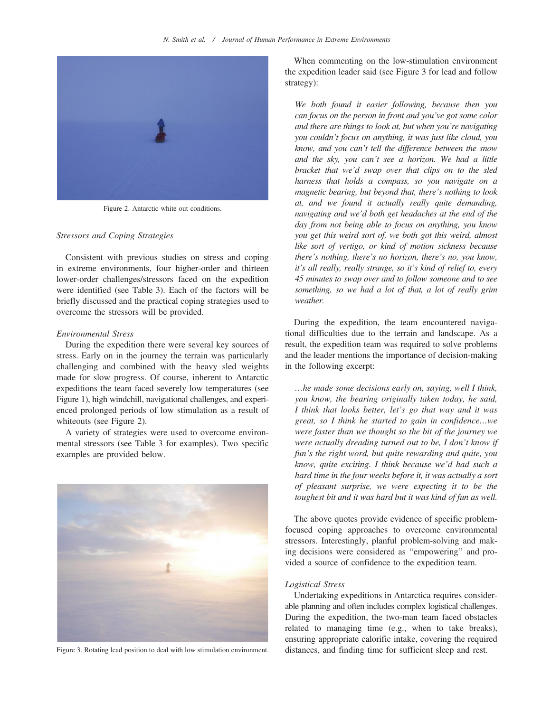

Figure 2. Antarctic white out conditions.

## Stressors and Coping Strategies

Consistent with previous studies on stress and coping in extreme environments, four higher-order and thirteen lower-order challenges/stressors faced on the expedition were identified (see Table 3). Each of the factors will be briefly discussed and the practical coping strategies used to overcome the stressors will be provided.

#### Environmental Stress

During the expedition there were several key sources of stress. Early on in the journey the terrain was particularly challenging and combined with the heavy sled weights made for slow progress. Of course, inherent to Antarctic expeditions the team faced severely low temperatures (see Figure 1), high windchill, navigational challenges, and experienced prolonged periods of low stimulation as a result of whiteouts (see Figure 2).

A variety of strategies were used to overcome environmental stressors (see Table 3 for examples). Two specific examples are provided below.



Figure 3. Rotating lead position to deal with low stimulation environment.

When commenting on the low-stimulation environment the expedition leader said (see Figure 3 for lead and follow strategy):

We both found it easier following, because then you can focus on the person in front and you've got some color and there are things to look at, but when you're navigating you couldn't focus on anything, it was just like cloud, you know, and you can't tell the difference between the snow and the sky, you can't see a horizon. We had a little bracket that we'd swap over that clips on to the sled harness that holds a compass, so you navigate on a magnetic bearing, but beyond that, there's nothing to look at, and we found it actually really quite demanding, navigating and we'd both get headaches at the end of the day from not being able to focus on anything, you know you get this weird sort of, we both got this weird, almost like sort of vertigo, or kind of motion sickness because there's nothing, there's no horizon, there's no, you know, it's all really, really strange, so it's kind of relief to, every 45 minutes to swap over and to follow someone and to see something, so we had a lot of that, a lot of really grim weather.

During the expedition, the team encountered navigational difficulties due to the terrain and landscape. As a result, the expedition team was required to solve problems and the leader mentions the importance of decision-making in the following excerpt:

…he made some decisions early on, saying, well I think, you know, the bearing originally taken today, he said, I think that looks better, let's go that way and it was great, so I think he started to gain in confidence…we were faster than we thought so the bit of the journey we were actually dreading turned out to be, I don't know if fun's the right word, but quite rewarding and quite, you know, quite exciting. I think because we'd had such a hard time in the four weeks before it, it was actually a sort of pleasant surprise, we were expecting it to be the toughest bit and it was hard but it was kind of fun as well.

The above quotes provide evidence of specific problemfocused coping approaches to overcome environmental stressors. Interestingly, planful problem-solving and making decisions were considered as ''empowering'' and provided a source of confidence to the expedition team.

### Logistical Stress

Undertaking expeditions in Antarctica requires considerable planning and often includes complex logistical challenges. During the expedition, the two-man team faced obstacles related to managing time (e.g., when to take breaks), ensuring appropriate calorific intake, covering the required distances, and finding time for sufficient sleep and rest.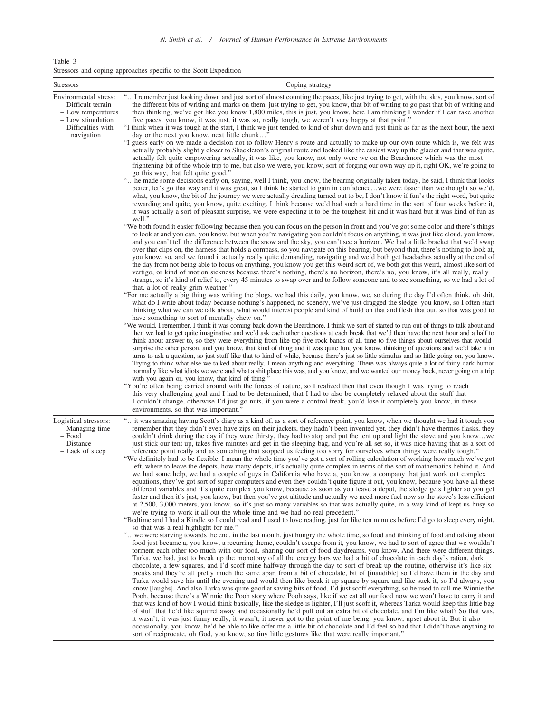| Table 3 |  |                                                                  |  |  |  |
|---------|--|------------------------------------------------------------------|--|--|--|
|         |  | Stressors and coping approaches specific to the Scott Expedition |  |  |  |

| Stressors                                                                                                                    | Coping strategy                                                                                                                                                                                                                                                                                                                                                                                                                                                                                                                                                                                                                                                                                                                                                                                                                                                                                                                                                                                                                                                                                                                                                                                                                                                                                                                                                                                                                                                                                                                                                                                                                                                                                                                                                                                                                                                                                                                                                                                                                                                                                                                                                                                                                                                                                                                                                                                                                                                                                                                                                                                                                                                                                                                                                                                                                                                                                                                                                                                                                                                                                                                                                                                                                                                                                                                                                                                                                                                                                                                                                                                                                                                                                                                                                                                                                                                                                                                                                                                                                                                                                                                                                                                                                                                                                                                                                                                                                             |
|------------------------------------------------------------------------------------------------------------------------------|---------------------------------------------------------------------------------------------------------------------------------------------------------------------------------------------------------------------------------------------------------------------------------------------------------------------------------------------------------------------------------------------------------------------------------------------------------------------------------------------------------------------------------------------------------------------------------------------------------------------------------------------------------------------------------------------------------------------------------------------------------------------------------------------------------------------------------------------------------------------------------------------------------------------------------------------------------------------------------------------------------------------------------------------------------------------------------------------------------------------------------------------------------------------------------------------------------------------------------------------------------------------------------------------------------------------------------------------------------------------------------------------------------------------------------------------------------------------------------------------------------------------------------------------------------------------------------------------------------------------------------------------------------------------------------------------------------------------------------------------------------------------------------------------------------------------------------------------------------------------------------------------------------------------------------------------------------------------------------------------------------------------------------------------------------------------------------------------------------------------------------------------------------------------------------------------------------------------------------------------------------------------------------------------------------------------------------------------------------------------------------------------------------------------------------------------------------------------------------------------------------------------------------------------------------------------------------------------------------------------------------------------------------------------------------------------------------------------------------------------------------------------------------------------------------------------------------------------------------------------------------------------------------------------------------------------------------------------------------------------------------------------------------------------------------------------------------------------------------------------------------------------------------------------------------------------------------------------------------------------------------------------------------------------------------------------------------------------------------------------------------------------------------------------------------------------------------------------------------------------------------------------------------------------------------------------------------------------------------------------------------------------------------------------------------------------------------------------------------------------------------------------------------------------------------------------------------------------------------------------------------------------------------------------------------------------------------------------------------------------------------------------------------------------------------------------------------------------------------------------------------------------------------------------------------------------------------------------------------------------------------------------------------------------------------------------------------------------------------------------------------------------------------------------------------------------|
| Environmental stress:<br>- Difficult terrain<br>- Low temperatures<br>- Low stimulation<br>- Difficulties with<br>navigation | "I remember just looking down and just sort of almost counting the paces, like just trying to get, with the skis, you know, sort of<br>the different bits of writing and marks on them, just trying to get, you know, that bit of writing to go past that bit of writing and<br>then thinking, we've got like you know 1,800 miles, this is just, you know, here I am thinking I wonder if I can take another<br>five paces, you know, it was just, it was so, really tough, we weren't very happy at that point."<br>"I think when it was tough at the start, I think we just tended to kind of shut down and just think as far as the next hour, the next<br>day or the next you know, next little chunk"<br>"I guess early on we made a decision not to follow Henry's route and actually to make up our own route which is, we felt was<br>actually probably slightly closer to Shackleton's original route and looked like the easiest way up the glacier and that was quite,<br>actually felt quite empowering actually, it was like, you know, not only were we on the Beardmore which was the most<br>frightening bit of the whole trip to me, but also we were, you know, sort of forging our own way up it, right OK, we're going to<br>go this way, that felt quite good."<br>" he made some decisions early on, saying, well I think, you know, the bearing originally taken today, he said, I think that looks<br>better, let's go that way and it was great, so I think he started to gain in confidencewe were faster than we thought so we'd,<br>what, you know, the bit of the journey we were actually dreading turned out to be, I don't know if fun's the right word, but quite<br>rewarding and quite, you know, quite exciting. I think because we'd had such a hard time in the sort of four weeks before it,<br>it was actually a sort of pleasant surprise, we were expecting it to be the toughest bit and it was hard but it was kind of fun as<br>well."<br>"We both found it easier following because then you can focus on the person in front and you've got some color and there's things<br>to look at and you can, you know, but when you're navigating you couldn't focus on anything, it was just like cloud, you know,<br>and you can't tell the difference between the snow and the sky, you can't see a horizon. We had a little bracket that we'd swap<br>over that clips on, the harness that holds a compass, so you navigate on this bearing, but beyond that, there's nothing to look at,<br>you know, so, and we found it actually really quite demanding, navigating and we'd both get headaches actually at the end of<br>the day from not being able to focus on anything, you know you get this weird sort of, we both got this weird, almost like sort of<br>vertigo, or kind of motion sickness because there's nothing, there's no horizon, there's no, you know, it's all really, really<br>strange, so it's kind of relief to, every 45 minutes to swap over and to follow someone and to see something, so we had a lot of<br>that, a lot of really grim weather."<br>"For me actually a big thing was writing the blogs, we had this daily, you know, we, so during the day I'd often think, oh shit,<br>what do I write about today because nothing's happened, no scenery, we've just dragged the sledge, you know, so I often start<br>thinking what we can we talk about, what would interest people and kind of build on that and flesh that out, so that was good to<br>have something to sort of mentally chew on."<br>"We would, I remember, I think it was coming back down the Beardmore, I think we sort of started to run out of things to talk about and<br>then we had to get quite imaginative and we'd ask each other questions at each break that we'd then have the next hour and a half to<br>think about answer to, so they were everything from like top five rock bands of all time to five things about ourselves that would<br>surprise the other person, and you know, that kind of thing and it was quite fun, you know, thinking of questions and we'd take it in<br>turns to ask a question, so just stuff like that to kind of while, because there's just so little stimulus and so little going on, you know.<br>Trying to think what else we talked about really. I mean anything and everything. There was always quite a lot of fairly dark humor |
|                                                                                                                              | normally like what idiots we were and what a shit place this was, and you know, and we wanted our money back, never going on a trip<br>with you again or, you know, that kind of thing."<br>"You're often being carried around with the forces of nature, so I realized then that even though I was trying to reach<br>this very challenging goal and I had to be determined, that I had to also be completely relaxed about the stuff that<br>I couldn't change, otherwise I'd just go nuts, if you were a control freak, you'd lose it completely you know, in these<br>environments, so that was important."                                                                                                                                                                                                                                                                                                                                                                                                                                                                                                                                                                                                                                                                                                                                                                                                                                                                                                                                                                                                                                                                                                                                                                                                                                                                                                                                                                                                                                                                                                                                                                                                                                                                                                                                                                                                                                                                                                                                                                                                                                                                                                                                                                                                                                                                                                                                                                                                                                                                                                                                                                                                                                                                                                                                                                                                                                                                                                                                                                                                                                                                                                                                                                                                                                                                                                                                                                                                                                                                                                                                                                                                                                                                                                                                                                                                                             |
| Logistical stressors:<br>- Managing time<br>– Food<br>- Distance<br>- Lack of sleep                                          | " it was amazing having Scott's diary as a kind of, as a sort of reference point, you know, when we thought we had it tough you<br>remember that they didn't even have zips on their jackets, they hadn't been invented yet, they didn't have thermos flasks, they<br>couldn't drink during the day if they were thirsty, they had to stop and put the tent up and light the stove and you knowwe<br>just stick our tent up, takes five minutes and get in the sleeping bag, and you're all set so, it was nice having that as a sort of<br>reference point really and as something that stopped us feeling too sorry for ourselves when things were really tough."<br>"We definitely had to be flexible, I mean the whole time you've got a sort of rolling calculation of working how much we've got<br>left, where to leave the depots, how many depots, it's actually quite complex in terms of the sort of mathematics behind it. And<br>we had some help, we had a couple of guys in California who have a, you know, a company that just work out complex<br>equations, they've got sort of super computers and even they couldn't quite figure it out, you know, because you have all these<br>different variables and it's quite complex you know, because as soon as you leave a depot, the sledge gets lighter so you get<br>faster and then it's just, you know, but then you've got altitude and actually we need more fuel now so the stove's less efficient<br>at 2,500, 3,000 meters, you know, so it's just so many variables so that was actually quite, in a way kind of kept us busy so<br>we're trying to work it all out the whole time and we had no real precedent."<br>"Bedtime and I had a Kindle so I could read and I used to love reading, just for like ten minutes before I'd go to sleep every night,<br>so that was a real highlight for me."<br>" we were starving towards the end, in the last month, just hungry the whole time, so food and thinking of food and talking about<br>food just became a, you know, a recurring theme, couldn't escape from it, you know, we had to sort of agree that we wouldn't<br>torment each other too much with our food, sharing our sort of food daydreams, you know. And there were different things,<br>Tarka, we had, just to break up the monotony of all the energy bars we had a bit of chocolate in each day's ration, dark<br>chocolate, a few squares, and I'd scoff mine halfway through the day to sort of break up the routine, otherwise it's like six<br>breaks and they're all pretty much the same apart from a bit of chocolate, bit of [inaudible] so I'd have them in the day and<br>Tarka would save his until the evening and would then like break it up square by square and like suck it, so I'd always, you<br>know [laughs]. And also Tarka was quite good at saving bits of food, I'd just scoff everything, so he used to call me Winnie the<br>Pooh, because there's a Winnie the Pooh story where Pooh says, like if we eat all our food now we won't have to carry it and<br>that was kind of how I would think basically, like the sledge is lighter, I'll just scoff it, whereas Tarka would keep this little bag<br>of stuff that he'd like squirrel away and occasionally he'd pull out an extra bit of chocolate, and I'm like what? So that was,<br>it wasn't, it was just funny really, it wasn't, it never got to the point of me being, you know, upset about it. But it also<br>occasionally, you know, he'd be able to like offer me a little bit of chocolate and I'd feel so bad that I didn't have anything to<br>sort of reciprocate, oh God, you know, so tiny little gestures like that were really important."                                                                                                                                                                                                                                                                                                                                                                                                                                                                                                                                                                                                                                                                                                   |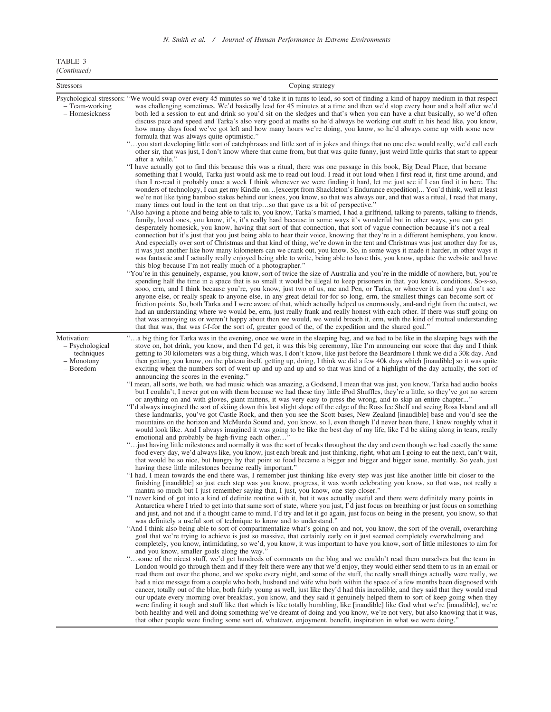## N. Smith et al. / Journal of Human Performance in Extreme Environments

| TABLE 3     |  |
|-------------|--|
| (Continued) |  |

| <b>Stressors</b>                                                        | Coping strategy                                                                                                                                                                                                                                                                                                                                                                                                                                                                                                                                                                                                                                                                                                                                                                                                                                                                                                                                                                                                                                                                                                                                                                                                                                                                                                                                                                                                                                                                                                                                                                                                                                                                                                                                                                                                                                                                                                                                                                                                                                                                                                                                                                                                                                                                                                                                                                                                                                                                                                                                                                                                                                                                                                                                                                                                                                                                                                                                                                                                                                                                                                                                                                                                                                                                                                                                                                                                                                                                                                                                                                                                                                                                                                                                                                                                                                                                                                                                                                                                                                                                                                                                                                                                                                                                                                                                                                                                                                                                                                                                                                                                                                                                         |
|-------------------------------------------------------------------------|-----------------------------------------------------------------------------------------------------------------------------------------------------------------------------------------------------------------------------------------------------------------------------------------------------------------------------------------------------------------------------------------------------------------------------------------------------------------------------------------------------------------------------------------------------------------------------------------------------------------------------------------------------------------------------------------------------------------------------------------------------------------------------------------------------------------------------------------------------------------------------------------------------------------------------------------------------------------------------------------------------------------------------------------------------------------------------------------------------------------------------------------------------------------------------------------------------------------------------------------------------------------------------------------------------------------------------------------------------------------------------------------------------------------------------------------------------------------------------------------------------------------------------------------------------------------------------------------------------------------------------------------------------------------------------------------------------------------------------------------------------------------------------------------------------------------------------------------------------------------------------------------------------------------------------------------------------------------------------------------------------------------------------------------------------------------------------------------------------------------------------------------------------------------------------------------------------------------------------------------------------------------------------------------------------------------------------------------------------------------------------------------------------------------------------------------------------------------------------------------------------------------------------------------------------------------------------------------------------------------------------------------------------------------------------------------------------------------------------------------------------------------------------------------------------------------------------------------------------------------------------------------------------------------------------------------------------------------------------------------------------------------------------------------------------------------------------------------------------------------------------------------------------------------------------------------------------------------------------------------------------------------------------------------------------------------------------------------------------------------------------------------------------------------------------------------------------------------------------------------------------------------------------------------------------------------------------------------------------------------------------------------------------------------------------------------------------------------------------------------------------------------------------------------------------------------------------------------------------------------------------------------------------------------------------------------------------------------------------------------------------------------------------------------------------------------------------------------------------------------------------------------------------------------------------------------------------------------------------------------------------------------------------------------------------------------------------------------------------------------------------------------------------------------------------------------------------------------------------------------------------------------------------------------------------------------------------------------------------------------------------------------------------------------------------------------|
| – Team-working<br>- Homesickness                                        | Psychological stressors: "We would swap over every 45 minutes so we'd take it in turns to lead, so sort of finding a kind of happy medium in that respect<br>was challenging sometimes. We'd basically lead for 45 minutes at a time and then we'd stop every hour and a half after we'd<br>both led a session to eat and drink so you'd sit on the sledges and that's when you can have a chat basically, so we'd often<br>discuss pace and speed and Tarka's also very good at maths so he'd always be working out stuff in his head like, you know,<br>how many days food we've got left and how many hours we're doing, you know, so he'd always come up with some new<br>formula that was always quite optimistic."<br>"you start developing little sort of catchphrases and little sort of in jokes and things that no one else would really, we'd call each<br>other sir, that was just, I don't know where that came from, but that was quite funny, just weird little quirks that start to appear<br>after a while."<br>"I have actually got to find this because this was a ritual, there was one passage in this book, Big Dead Place, that became                                                                                                                                                                                                                                                                                                                                                                                                                                                                                                                                                                                                                                                                                                                                                                                                                                                                                                                                                                                                                                                                                                                                                                                                                                                                                                                                                                                                                                                                                                                                                                                                                                                                                                                                                                                                                                                                                                                                                                                                                                                                                                                                                                                                                                                                                                                                                                                                                                                                                                                                                                                                                                                                                                                                                                                                                                                                                                                                                                                                                                                                                                                                                                                                                                                                                                                                                                                                                                                                                                                           |
|                                                                         | something that I would, Tarka just would ask me to read out loud. I read it out loud when I first read it, first time around, and<br>then I re-read it probably once a week I think whenever we were finding it hard, let me just see if I can find it in here. The<br>wonders of technology, I can get my Kindle on [excerpt from Shackleton's Endurance expedition] You'd think, well at least<br>we're not like tying bamboo stakes behind our knees, you know, so that was always our, and that was a ritual, I read that many,<br>many times out loud in the tent on that tripso that gave us a bit of perspective."<br>"Also having a phone and being able to talk to, you know, Tarka's married, I had a girlfriend, talking to parents, talking to friends,<br>family, loved ones, you know, it's, it's really hard because in some ways it's wonderful but in other ways, you can get<br>desperately homesick, you know, having that sort of that connection, that sort of vague connection because it's not a real<br>connection but it's just that you just being able to hear their voice, knowing that they're in a different hemisphere, you know.<br>And especially over sort of Christmas and that kind of thing, we're down in the tent and Christmas was just another day for us,<br>it was just another like how many kilometers can we crank out, you know. So, in some ways it made it harder, in other ways it<br>was fantastic and I actually really enjoyed being able to write, being able to have this, you know, update the website and have<br>this blog because I'm not really much of a photographer."<br>"You're in this genuinely, expanse, you know, sort of twice the size of Australia and you're in the middle of nowhere, but, you're<br>spending half the time in a space that is so small it would be illegal to keep prisoners in that, you know, conditions. So-s-so,<br>sooo, erm, and I think because you're, you know, just two of us, me and Pen, or Tarka, or whoever it is and you don't see<br>anyone else, or really speak to anyone else, in any great detail for-for so long, erm, the smallest things can become sort of<br>friction points. So, both Tarka and I were aware of that, which actually helped us enormously, and-and right from the outset, we<br>had an understanding where we would be, erm, just really frank and really honest with each other. If there was stuff going on<br>that was annoying us or weren't happy about then we would, we would broach it, erm, with the kind of mutual understanding<br>that that was, that was f-f-for the sort of, greater good of the, of the expedition and the shared goal."                                                                                                                                                                                                                                                                                                                                                                                                                                                                                                                                                                                                                                                                                                                                                                                                                                                                                                                                                                                                                                                                                                                                                                                                                                                                                                                                                                                                                                                                                                                                                                                                                                                                                                                                                                                                                                                                                                                                                                                             |
| Motivation:<br>- Psychological<br>techniques<br>- Monotony<br>- Boredom | "a big thing for Tarka was in the evening, once we were in the sleeping bag, and we had to be like in the sleeping bags with the<br>stove on, hot drink, you know, and then I'd get, it was this big ceremony, like I'm announcing our score that day and I think<br>getting to 30 kilometers was a big thing, which was, I don't know, like just before the Beardmore I think we did a 30k day. And<br>then getting, you know, on the plateau itself, getting up, doing, I think we did a few 40k days which [inaudible] so it was quite<br>exciting when the numbers sort of went up and up and up and so that was kind of a highlight of the day actually, the sort of<br>announcing the scores in the evening."<br>"I mean, all sorts, we both, we had music which was amazing, a Godsend, I mean that was just, you know, Tarka had audio books<br>but I couldn't, I never got on with them because we had these tiny little iPod Shuffles, they're a little, so they've got no screen<br>or anything on and with gloves, giant mittens, it was very easy to press the wrong, and to skip an entire chapter"<br>"I'd always imagined the sort of skiing down this last slight slope off the edge of the Ross Ice Shelf and seeing Ross Island and all<br>these landmarks, you've got Castle Rock, and then you see the Scott bases, New Zealand [inaudible] base and you'd see the<br>mountains on the horizon and McMurdo Sound and, you know, so I, even though I'd never been there, I knew roughly what it<br>would look like. And I always imagined it was going to be like the best day of my life, like I'd be skiing along in tears, really<br>emotional and probably be high-fiving each other"<br>" just having little milestones and normally it was the sort of breaks throughout the day and even though we had exactly the same<br>food every day, we'd always like, you know, just each break and just thinking, right, what am I going to eat the next, can't wait,<br>that would be so nice, but hungry by that point so food became a bigger and bigger and bigger issue, mentally. So yeah, just<br>having these little milestones became really important."<br>"I had, I mean towards the end there was, I remember just thinking like every step was just like another little bit closer to the<br>finishing [inaudible] so just each step was you know, progress, it was worth celebrating you know, so that was, not really a<br>mantra so much but I just remember saying that, I just, you know, one step closer."<br>"I never kind of got into a kind of definite routine with it, but it was actually useful and there were definitely many points in<br>Antarctica where I tried to get into that same sort of state, where you just, I'd just focus on breathing or just focus on something<br>and just, and not and if a thought came to mind, I'd try and let it go again, just focus on being in the present, you know, so that<br>was definitely a useful sort of technique to know and to understand."<br>"And I think also being able to sort of compartmentalize what's going on and not, you know, the sort of the overall, overarching<br>goal that we're trying to achieve is just so massive, that certainly early on it just seemed completely overwhelming and<br>completely, you know, intimidating, so we'd, you know, it was important to have you know, sort of little milestones to aim for<br>and you know, smaller goals along the way."<br>"some of the nicest stuff, we'd get hundreds of comments on the blog and we couldn't read them ourselves but the team in<br>London would go through them and if they felt there were any that we'd enjoy, they would either send them to us in an email or<br>read them out over the phone, and we spoke every night, and some of the stuff, the really small things actually were really, we<br>had a nice message from a couple who both, husband and wife who both within the space of a few months been diagnosed with<br>cancer, totally out of the blue, both fairly young as well, just like they'd had this incredible, and they said that they would read<br>our update every morning over breakfast, you know, and they said it genuinely helped them to sort of keep going when they<br>were finding it tough and stuff like that which is like totally humbling, like [inaudible] like God what we're [inaudible], we're<br>both healthy and well and doing something we've dreamt of doing and you know, we're not very, but also knowing that it was,<br>that other people were finding some sort of, whatever, enjoyment, benefit, inspiration in what we were doing." |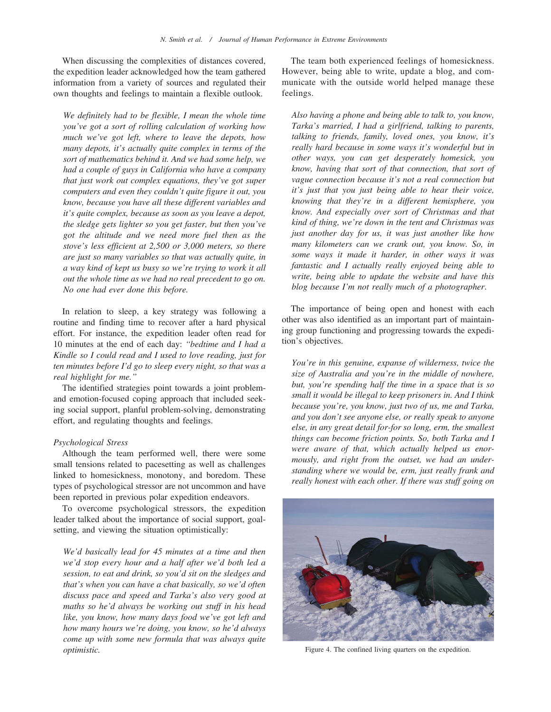When discussing the complexities of distances covered, the expedition leader acknowledged how the team gathered information from a variety of sources and regulated their own thoughts and feelings to maintain a flexible outlook.

We definitely had to be flexible, I mean the whole time you've got a sort of rolling calculation of working how much we've got left, where to leave the depots, how many depots, it's actually quite complex in terms of the sort of mathematics behind it. And we had some help, we had a couple of guys in California who have a company that just work out complex equations, they've got super computers and even they couldn't quite figure it out, you know, because you have all these different variables and it's quite complex, because as soon as you leave a depot, the sledge gets lighter so you get faster, but then you've got the altitude and we need more fuel then as the stove's less efficient at 2,500 or 3,000 meters, so there are just so many variables so that was actually quite, in a way kind of kept us busy so we're trying to work it all out the whole time as we had no real precedent to go on. No one had ever done this before.

In relation to sleep, a key strategy was following a routine and finding time to recover after a hard physical effort. For instance, the expedition leader often read for 10 minutes at the end of each day: ''bedtime and I had a Kindle so I could read and I used to love reading, just for ten minutes before I'd go to sleep every night, so that was a real highlight for me.''

The identified strategies point towards a joint problemand emotion-focused coping approach that included seeking social support, planful problem-solving, demonstrating effort, and regulating thoughts and feelings.

#### Psychological Stress

Although the team performed well, there were some small tensions related to pacesetting as well as challenges linked to homesickness, monotony, and boredom. These types of psychological stressor are not uncommon and have been reported in previous polar expedition endeavors.

To overcome psychological stressors, the expedition leader talked about the importance of social support, goalsetting, and viewing the situation optimistically:

We'd basically lead for 45 minutes at a time and then we'd stop every hour and a half after we'd both led a session, to eat and drink, so you'd sit on the sledges and that's when you can have a chat basically, so we'd often discuss pace and speed and Tarka's also very good at maths so he'd always be working out stuff in his head like, you know, how many days food we've got left and how many hours we're doing, you know, so he'd always come up with some new formula that was always quite optimistic.

The team both experienced feelings of homesickness. However, being able to write, update a blog, and communicate with the outside world helped manage these feelings.

Also having a phone and being able to talk to, you know, Tarka's married, I had a girlfriend, talking to parents, talking to friends, family, loved ones, you know, it's really hard because in some ways it's wonderful but in other ways, you can get desperately homesick, you know, having that sort of that connection, that sort of vague connection because it's not a real connection but it's just that you just being able to hear their voice, knowing that they're in a different hemisphere, you know. And especially over sort of Christmas and that kind of thing, we're down in the tent and Christmas was just another day for us, it was just another like how many kilometers can we crank out, you know. So, in some ways it made it harder, in other ways it was fantastic and I actually really enjoyed being able to write, being able to update the website and have this blog because I'm not really much of a photographer.

The importance of being open and honest with each other was also identified as an important part of maintaining group functioning and progressing towards the expedition's objectives.

You're in this genuine, expanse of wilderness, twice the size of Australia and you're in the middle of nowhere, but, you're spending half the time in a space that is so small it would be illegal to keep prisoners in. And I think because you're, you know, just two of us, me and Tarka, and you don't see anyone else, or really speak to anyone else, in any great detail for-for so long, erm, the smallest things can become friction points. So, both Tarka and I were aware of that, which actually helped us enormously, and right from the outset, we had an understanding where we would be, erm, just really frank and really honest with each other. If there was stuff going on



Figure 4. The confined living quarters on the expedition.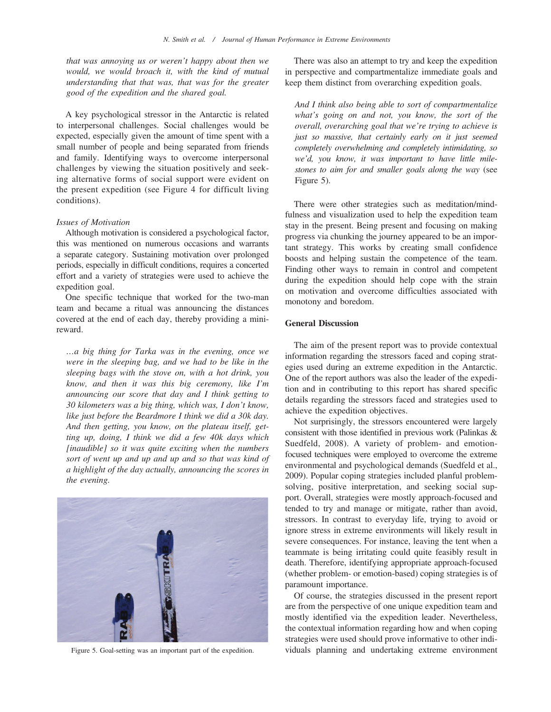that was annoying us or weren't happy about then we would, we would broach it, with the kind of mutual understanding that that was, that was for the greater good of the expedition and the shared goal.

A key psychological stressor in the Antarctic is related to interpersonal challenges. Social challenges would be expected, especially given the amount of time spent with a small number of people and being separated from friends and family. Identifying ways to overcome interpersonal challenges by viewing the situation positively and seeking alternative forms of social support were evident on the present expedition (see Figure 4 for difficult living conditions).

## Issues of Motivation

Although motivation is considered a psychological factor, this was mentioned on numerous occasions and warrants a separate category. Sustaining motivation over prolonged periods, especially in difficult conditions, requires a concerted effort and a variety of strategies were used to achieve the expedition goal.

One specific technique that worked for the two-man team and became a ritual was announcing the distances covered at the end of each day, thereby providing a minireward.

…a big thing for Tarka was in the evening, once we were in the sleeping bag, and we had to be like in the sleeping bags with the stove on, with a hot drink, you know, and then it was this big ceremony, like I'm announcing our score that day and I think getting to 30 kilometers was a big thing, which was, I don't know, like just before the Beardmore I think we did a 30k day. And then getting, you know, on the plateau itself, getting up, doing, I think we did a few 40k days which [inaudible] so it was quite exciting when the numbers sort of went up and up and up and so that was kind of a highlight of the day actually, announcing the scores in the evening.



There was also an attempt to try and keep the expedition in perspective and compartmentalize immediate goals and keep them distinct from overarching expedition goals.

And I think also being able to sort of compartmentalize what's going on and not, you know, the sort of the overall, overarching goal that we're trying to achieve is just so massive, that certainly early on it just seemed completely overwhelming and completely intimidating, so we'd, you know, it was important to have little milestones to aim for and smaller goals along the way (see Figure 5).

There were other strategies such as meditation/mindfulness and visualization used to help the expedition team stay in the present. Being present and focusing on making progress via chunking the journey appeared to be an important strategy. This works by creating small confidence boosts and helping sustain the competence of the team. Finding other ways to remain in control and competent during the expedition should help cope with the strain on motivation and overcome difficulties associated with monotony and boredom.

## General Discussion

The aim of the present report was to provide contextual information regarding the stressors faced and coping strategies used during an extreme expedition in the Antarctic. One of the report authors was also the leader of the expedition and in contributing to this report has shared specific details regarding the stressors faced and strategies used to achieve the expedition objectives.

Not surprisingly, the stressors encountered were largely consistent with those identified in previous work (Palinkas & Suedfeld, 2008). A variety of problem- and emotionfocused techniques were employed to overcome the extreme environmental and psychological demands (Suedfeld et al., 2009). Popular coping strategies included planful problemsolving, positive interpretation, and seeking social support. Overall, strategies were mostly approach-focused and tended to try and manage or mitigate, rather than avoid, stressors. In contrast to everyday life, trying to avoid or ignore stress in extreme environments will likely result in severe consequences. For instance, leaving the tent when a teammate is being irritating could quite feasibly result in death. Therefore, identifying appropriate approach-focused (whether problem- or emotion-based) coping strategies is of paramount importance.

Of course, the strategies discussed in the present report are from the perspective of one unique expedition team and mostly identified via the expedition leader. Nevertheless, the contextual information regarding how and when coping strategies were used should prove informative to other indi-Figure 5. Goal-setting was an important part of the expedition. viduals planning and undertaking extreme environment